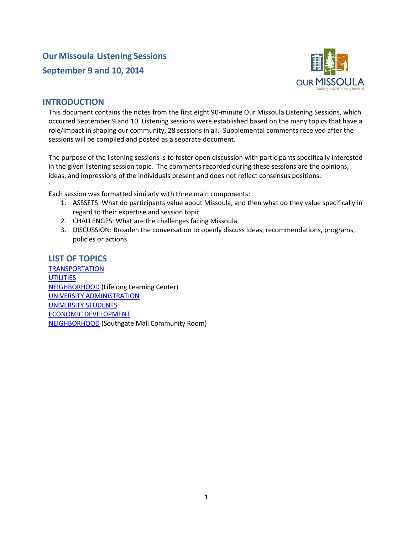

## **INTRODUCTION**

This document contains the notes from the first eight 90-minute Our Missoula Listening Sessions, which occurred September 9 and 10. Listening sessions were established based on the many topics that have a role/impact in shaping our community, 28 sessions in all. Supplemental comments received after the sessions will be compiled and posted as a separate document.

The purpose of the listening sessions is to foster open discussion with participants specifically interested in the given listening session topic. The comments recorded during these sessions are the opinions, ideas, and impressions of the individuals present and does not reflect consensus positions.

Each session was formatted similarly with three main components:

- 1. ASSSETS: What do participants value about Missoula, and then what do they value specifically in regard to their expertise and session topic
- 2. CHALLENGES: What are the challenges facing Missoula
- 3. DISCUSSION: Broaden the conversation to openly discuss ideas, recommendations, programs, policies or actions

## <span id="page-0-0"></span>**LIST OF TOPICS**

**[TRANSPORTATION](#page-1-0) [UTILITIES](#page-4-0)** [NEIGHBORHOOD](#page-6-0) (Lifelong Learning Center) [UNIVERSITY ADMINISTRATION](#page-6-1) [UNIVERSITY STUDENTS](#page-10-0) [ECONOMIC DEVELOPMENT](#page-12-0) [NEIGHBORHOOD](#page-14-0) (Southgate Mall Community Room)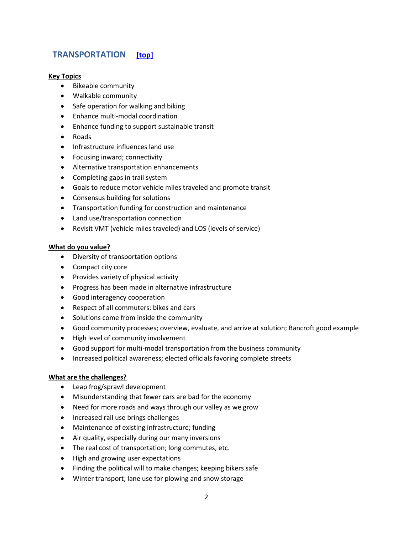## <span id="page-1-0"></span>**TRANSPORTATION [\[top\]](#page-0-0)**

#### **Key Topics**

- Bikeable community
- Walkable community
- Safe operation for walking and biking
- Enhance multi-modal coordination
- Enhance funding to support sustainable transit
- Roads
- Infrastructure influences land use
- Focusing inward; connectivity
- Alternative transportation enhancements
- Completing gaps in trail system
- Goals to reduce motor vehicle miles traveled and promote transit
- Consensus building for solutions
- Transportation funding for construction and maintenance
- Land use/transportation connection
- Revisit VMT (vehicle miles traveled) and LOS (levels of service)

#### **What do you value?**

- Diversity of transportation options
- Compact city core
- Provides variety of physical activity
- Progress has been made in alternative infrastructure
- Good interagency cooperation
- Respect of all commuters: bikes and cars
- Solutions come from inside the community
- Good community processes; overview, evaluate, and arrive at solution; Bancroft good example
- High level of community involvement
- Good support for multi-modal transportation from the business community
- Increased political awareness; elected officials favoring complete streets

- Leap frog/sprawl development
- Misunderstanding that fewer cars are bad for the economy
- Need for more roads and ways through our valley as we grow
- Increased rail use brings challenges
- Maintenance of existing infrastructure; funding
- Air quality, especially during our many inversions
- The real cost of transportation; long commutes, etc.
- High and growing user expectations
- Finding the political will to make changes; keeping bikers safe
- Winter transport; lane use for plowing and snow storage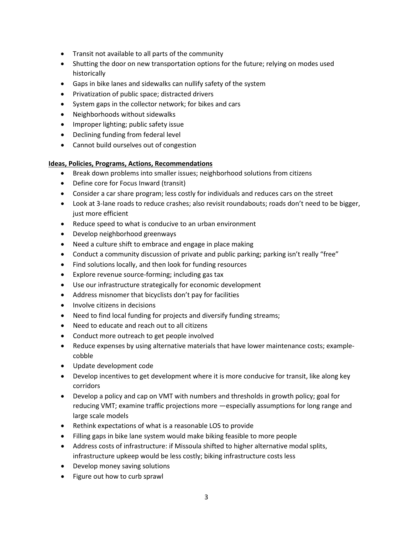- Transit not available to all parts of the community
- Shutting the door on new transportation options for the future; relying on modes used historically
- Gaps in bike lanes and sidewalks can nullify safety of the system
- Privatization of public space; distracted drivers
- System gaps in the collector network; for bikes and cars
- Neighborhoods without sidewalks
- Improper lighting; public safety issue
- Declining funding from federal level
- Cannot build ourselves out of congestion

## **Ideas, Policies, Programs, Actions, Recommendations**

- Break down problems into smaller issues; neighborhood solutions from citizens
- Define core for Focus Inward (transit)
- Consider a car share program; less costly for individuals and reduces cars on the street
- Look at 3-lane roads to reduce crashes; also revisit roundabouts; roads don't need to be bigger, just more efficient
- Reduce speed to what is conducive to an urban environment
- Develop neighborhood greenways
- Need a culture shift to embrace and engage in place making
- Conduct a community discussion of private and public parking; parking isn't really "free"
- Find solutions locally, and then look for funding resources
- Explore revenue source-forming; including gas tax
- Use our infrastructure strategically for economic development
- Address misnomer that bicyclists don't pay for facilities
- Involve citizens in decisions
- Need to find local funding for projects and diversify funding streams;
- Need to educate and reach out to all citizens
- Conduct more outreach to get people involved
- Reduce expenses by using alternative materials that have lower maintenance costs; examplecobble
- Update development code
- Develop incentives to get development where it is more conducive for transit, like along key corridors
- Develop a policy and cap on VMT with numbers and thresholds in growth policy; goal for reducing VMT; examine traffic projections more —especially assumptions for long range and large scale models
- Rethink expectations of what is a reasonable LOS to provide
- Filling gaps in bike lane system would make biking feasible to more people
- Address costs of infrastructure: if Missoula shifted to higher alternative modal splits, infrastructure upkeep would be less costly; biking infrastructure costs less
- Develop money saving solutions
- Figure out how to curb sprawl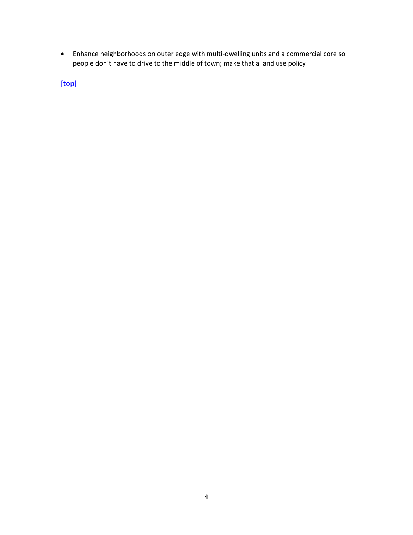• Enhance neighborhoods on outer edge with multi-dwelling units and a commercial core so people don't have to drive to the middle of town; make that a land use policy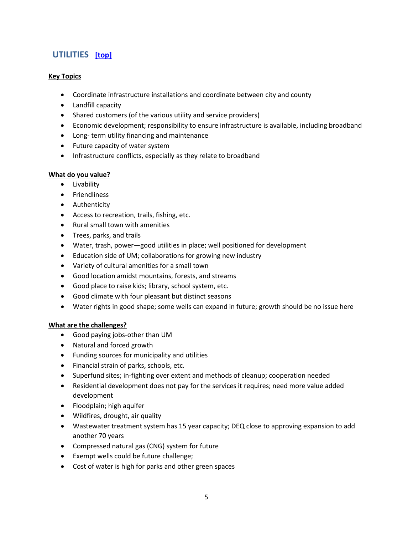# <span id="page-4-0"></span>**UTILITIES [\[top\]](#page-0-0)**

## **Key Topics**

- Coordinate infrastructure installations and coordinate between city and county
- Landfill capacity
- Shared customers (of the various utility and service providers)
- Economic development; responsibility to ensure infrastructure is available, including broadband
- Long- term utility financing and maintenance
- Future capacity of water system
- Infrastructure conflicts, especially as they relate to broadband

#### **What do you value?**

- Livability
- Friendliness
- Authenticity
- Access to recreation, trails, fishing, etc.
- Rural small town with amenities
- Trees, parks, and trails
- Water, trash, power—good utilities in place; well positioned for development
- Education side of UM; collaborations for growing new industry
- Variety of cultural amenities for a small town
- Good location amidst mountains, forests, and streams
- Good place to raise kids; library, school system, etc.
- Good climate with four pleasant but distinct seasons
- Water rights in good shape; some wells can expand in future; growth should be no issue here

- Good paying jobs-other than UM
- Natural and forced growth
- Funding sources for municipality and utilities
- Financial strain of parks, schools, etc.
- Superfund sites; in-fighting over extent and methods of cleanup; cooperation needed
- Residential development does not pay for the services it requires; need more value added development
- Floodplain; high aquifer
- Wildfires, drought, air quality
- Wastewater treatment system has 15 year capacity; DEQ close to approving expansion to add another 70 years
- Compressed natural gas (CNG) system for future
- Exempt wells could be future challenge;
- Cost of water is high for parks and other green spaces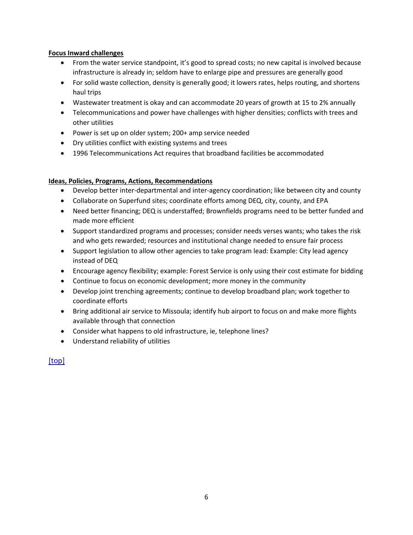#### **Focus Inward challenges**

- From the water service standpoint, it's good to spread costs; no new capital is involved because infrastructure is already in; seldom have to enlarge pipe and pressures are generally good
- For solid waste collection, density is generally good; it lowers rates, helps routing, and shortens haul trips
- Wastewater treatment is okay and can accommodate 20 years of growth at 15 to 2% annually
- Telecommunications and power have challenges with higher densities; conflicts with trees and other utilities
- Power is set up on older system; 200+ amp service needed
- Dry utilities conflict with existing systems and trees
- 1996 Telecommunications Act requires that broadband facilities be accommodated

## **Ideas, Policies, Programs, Actions, Recommendations**

- Develop better inter-departmental and inter-agency coordination; like between city and county
- Collaborate on Superfund sites; coordinate efforts among DEQ, city, county, and EPA
- Need better financing; DEQ is understaffed; Brownfields programs need to be better funded and made more efficient
- Support standardized programs and processes; consider needs verses wants; who takes the risk and who gets rewarded; resources and institutional change needed to ensure fair process
- Support legislation to allow other agencies to take program lead: Example: City lead agency instead of DEQ
- Encourage agency flexibility; example: Forest Service is only using their cost estimate for bidding
- Continue to focus on economic development; more money in the community
- Develop joint trenching agreements; continue to develop broadband plan; work together to coordinate efforts
- Bring additional air service to Missoula; identify hub airport to focus on and make more flights available through that connection
- Consider what happens to old infrastructure, ie, telephone lines?
- Understand reliability of utilities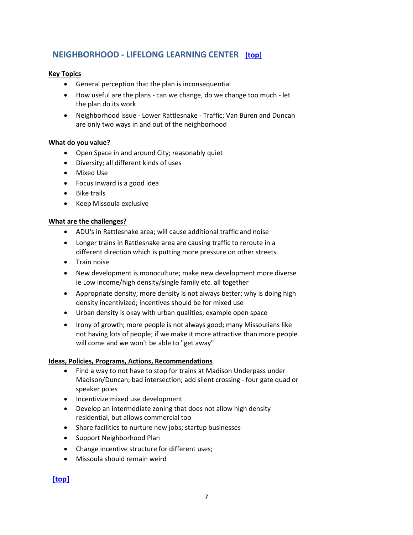## <span id="page-6-0"></span>**NEIGHBORHOOD - LIFELONG LEARNING CENTER [\[top\]](#page-0-0)**

## **Key Topics**

- General perception that the plan is inconsequential
- How useful are the plans can we change, do we change too much let the plan do its work
- Neighborhood issue Lower Rattlesnake Traffic: Van Buren and Duncan are only two ways in and out of the neighborhood

#### **What do you value?**

- Open Space in and around City; reasonably quiet
- Diversity; all different kinds of uses
- Mixed Use
- Focus Inward is a good idea
- Bike trails
- Keep Missoula exclusive

#### **What are the challenges?**

- ADU's in Rattlesnake area; will cause additional traffic and noise
- Longer trains in Rattlesnake area are causing traffic to reroute in a different direction which is putting more pressure on other streets
- Train noise
- New development is monoculture; make new development more diverse ie Low income/high density/single family etc. all together
- Appropriate density; more density is not always better; why is doing high density incentivized; incentives should be for mixed use
- Urban density is okay with urban qualities; example open space
- Irony of growth; more people is not always good; many Missoulians like not having lots of people; if we make it more attractive than more people will come and we won't be able to "get away"

#### **Ideas, Policies, Programs, Actions, Recommendations**

- Find a way to not have to stop for trains at Madison Underpass under Madison/Duncan; bad intersection; add silent crossing - four gate quad or speaker poles
- Incentivize mixed use development
- Develop an intermediate zoning that does not allow high density residential, but allows commercial too
- Share facilities to nurture new jobs; startup businesses
- Support Neighborhood Plan
- Change incentive structure for different uses;
- <span id="page-6-1"></span>• Missoula should remain weird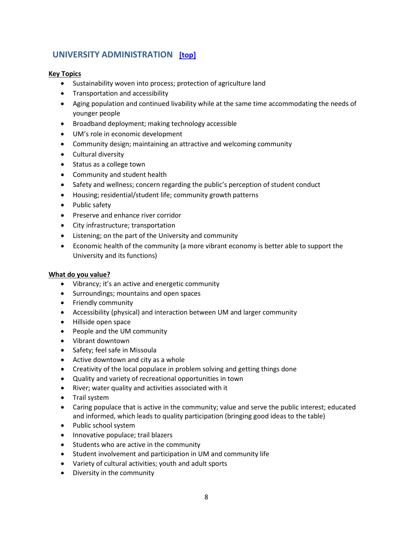## **UNIVERSITY ADMINISTRATION [\[top\]](#page-0-0)**

## **Key Topics**

- Sustainability woven into process; protection of agriculture land
- Transportation and accessibility
- Aging population and continued livability while at the same time accommodating the needs of younger people
- Broadband deployment; making technology accessible
- UM's role in economic development
- Community design; maintaining an attractive and welcoming community
- Cultural diversity
- Status as a college town
- Community and student health
- Safety and wellness; concern regarding the public's perception of student conduct
- Housing; residential/student life; community growth patterns
- Public safety
- Preserve and enhance river corridor
- City infrastructure; transportation
- Listening; on the part of the University and community
- Economic health of the community (a more vibrant economy is better able to support the University and its functions)

#### **What do you value?**

- Vibrancy; it's an active and energetic community
- Surroundings; mountains and open spaces
- Friendly community
- Accessibility (physical) and interaction between UM and larger community
- Hillside open space
- People and the UM community
- Vibrant downtown
- Safety; feel safe in Missoula
- Active downtown and city as a whole
- Creativity of the local populace in problem solving and getting things done
- Quality and variety of recreational opportunities in town
- River; water quality and activities associated with it
- Trail system
- Caring populace that is active in the community; value and serve the public interest; educated and informed, which leads to quality participation (bringing good ideas to the table)
- Public school system
- Innovative populace; trail blazers
- Students who are active in the community
- Student involvement and participation in UM and community life
- Variety of cultural activities; youth and adult sports
- Diversity in the community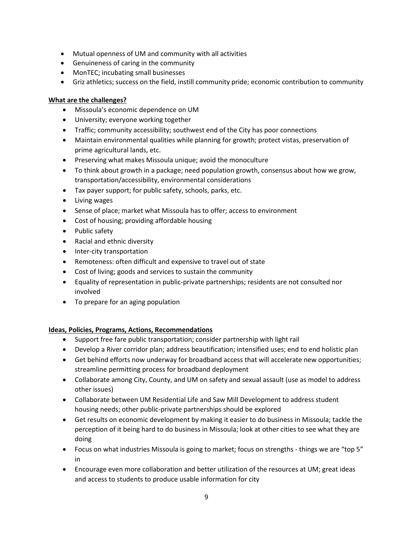- Mutual openness of UM and community with all activities
- Genuineness of caring in the community
- MonTEC; incubating small businesses
- Griz athletics; success on the field, instill community pride; economic contribution to community

## **What are the challenges?**

- Missoula's economic dependence on UM
- University; everyone working together
- Traffic; community accessibility; southwest end of the City has poor connections
- Maintain environmental qualities while planning for growth; protect vistas, preservation of prime agricultural lands, etc.
- Preserving what makes Missoula unique; avoid the monoculture
- To think about growth in a package; need population growth, consensus about how we grow, transportation/accessibility, environmental considerations
- Tax payer support; for public safety, schools, parks, etc.
- Living wages
- Sense of place; market what Missoula has to offer; access to environment
- Cost of housing; providing affordable housing
- Public safety
- Racial and ethnic diversity
- Inter-city transportation
- Remoteness: often difficult and expensive to travel out of state
- Cost of living; goods and services to sustain the community
- Equality of representation in public-private partnerships; residents are not consulted nor involved
- To prepare for an aging population

## **Ideas, Policies, Programs, Actions, Recommendations**

- Support free fare public transportation; consider partnership with light rail
- Develop a River corridor plan; address beautification; intensified uses; end to end holistic plan
- Get behind efforts now underway for broadband access that will accelerate new opportunities; streamline permitting process for broadband deployment
- Collaborate among City, County, and UM on safety and sexual assault (use as model to address other issues)
- Collaborate between UM Residential Life and Saw Mill Development to address student housing needs; other public-private partnerships should be explored
- Get results on economic development by making it easier to do business in Missoula; tackle the perception of it being hard to do business in Missoula; look at other cities to see what they are doing
- Focus on what industries Missoula is going to market; focus on strengths things we are "top 5" in
- Encourage even more collaboration and better utilization of the resources at UM; great ideas and access to students to produce usable information for city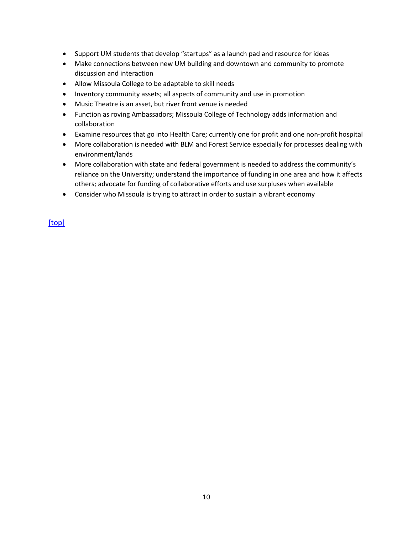- Support UM students that develop "startups" as a launch pad and resource for ideas
- Make connections between new UM building and downtown and community to promote discussion and interaction
- Allow Missoula College to be adaptable to skill needs
- Inventory community assets; all aspects of community and use in promotion
- Music Theatre is an asset, but river front venue is needed
- Function as roving Ambassadors; Missoula College of Technology adds information and collaboration
- Examine resources that go into Health Care; currently one for profit and one non-profit hospital
- More collaboration is needed with BLM and Forest Service especially for processes dealing with environment/lands
- More collaboration with state and federal government is needed to address the community's reliance on the University; understand the importance of funding in one area and how it affects others; advocate for funding of collaborative efforts and use surpluses when available
- Consider who Missoula is trying to attract in order to sustain a vibrant economy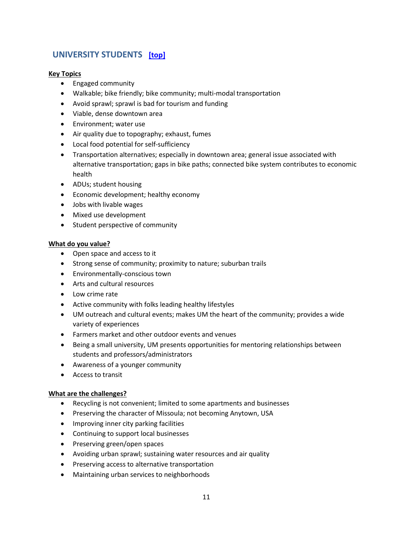## <span id="page-10-0"></span>**UNIVERSITY STUDENTS [\[top\]](#page-0-0)**

## **Key Topics**

- Engaged community
- Walkable; bike friendly; bike community; multi-modal transportation
- Avoid sprawl; sprawl is bad for tourism and funding
- Viable, dense downtown area
- Environment; water use
- Air quality due to topography; exhaust, fumes
- Local food potential for self-sufficiency
- Transportation alternatives; especially in downtown area; general issue associated with alternative transportation; gaps in bike paths; connected bike system contributes to economic health
- ADUs; student housing
- Economic development; healthy economy
- Jobs with livable wages
- Mixed use development
- Student perspective of community

#### **What do you value?**

- Open space and access to it
- Strong sense of community; proximity to nature; suburban trails
- Environmentally-conscious town
- Arts and cultural resources
- Low crime rate
- Active community with folks leading healthy lifestyles
- UM outreach and cultural events; makes UM the heart of the community; provides a wide variety of experiences
- Farmers market and other outdoor events and venues
- Being a small university, UM presents opportunities for mentoring relationships between students and professors/administrators
- Awareness of a younger community
- Access to transit

- Recycling is not convenient; limited to some apartments and businesses
- Preserving the character of Missoula; not becoming Anytown, USA
- Improving inner city parking facilities
- Continuing to support local businesses
- Preserving green/open spaces
- Avoiding urban sprawl; sustaining water resources and air quality
- Preserving access to alternative transportation
- Maintaining urban services to neighborhoods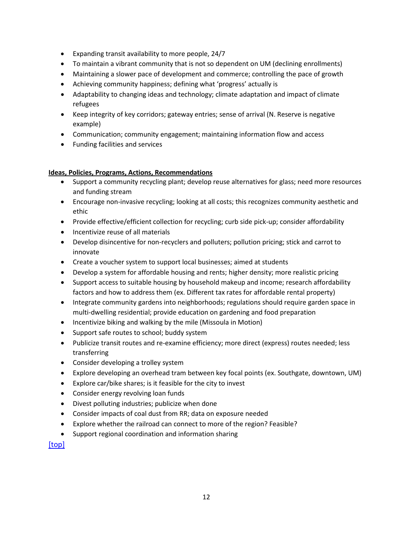- Expanding transit availability to more people, 24/7
- To maintain a vibrant community that is not so dependent on UM (declining enrollments)
- Maintaining a slower pace of development and commerce; controlling the pace of growth
- Achieving community happiness; defining what 'progress' actually is
- Adaptability to changing ideas and technology; climate adaptation and impact of climate refugees
- Keep integrity of key corridors; gateway entries; sense of arrival (N. Reserve is negative example)
- Communication; community engagement; maintaining information flow and access
- Funding facilities and services

## **Ideas, Policies, Programs, Actions, Recommendations**

- Support a community recycling plant; develop reuse alternatives for glass; need more resources and funding stream
- Encourage non-invasive recycling; looking at all costs; this recognizes community aesthetic and ethic
- Provide effective/efficient collection for recycling; curb side pick-up; consider affordability
- Incentivize reuse of all materials
- Develop disincentive for non-recyclers and polluters; pollution pricing; stick and carrot to innovate
- Create a voucher system to support local businesses; aimed at students
- Develop a system for affordable housing and rents; higher density; more realistic pricing
- Support access to suitable housing by household makeup and income; research affordability factors and how to address them (ex. Different tax rates for affordable rental property)
- Integrate community gardens into neighborhoods; regulations should require garden space in multi-dwelling residential; provide education on gardening and food preparation
- Incentivize biking and walking by the mile (Missoula in Motion)
- Support safe routes to school; buddy system
- Publicize transit routes and re-examine efficiency; more direct (express) routes needed; less transferring
- Consider developing a trolley system
- Explore developing an overhead tram between key focal points (ex. Southgate, downtown, UM)
- Explore car/bike shares; is it feasible for the city to invest
- Consider energy revolving loan funds
- Divest polluting industries; publicize when done
- Consider impacts of coal dust from RR; data on exposure needed
- Explore whether the railroad can connect to more of the region? Feasible?
- Support regional coordination and information sharing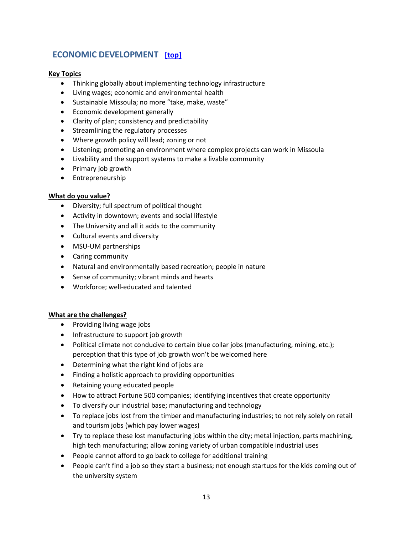# <span id="page-12-0"></span>**ECONOMIC DEVELOPMENT [\[top\]](#page-0-0)**

## **Key Topics**

- Thinking globally about implementing technology infrastructure
- Living wages; economic and environmental health
- Sustainable Missoula; no more "take, make, waste"
- Economic development generally
- Clarity of plan; consistency and predictability
- Streamlining the regulatory processes
- Where growth policy will lead; zoning or not
- Listening; promoting an environment where complex projects can work in Missoula
- Livability and the support systems to make a livable community
- Primary job growth
- Entrepreneurship

#### **What do you value?**

- Diversity; full spectrum of political thought
- Activity in downtown; events and social lifestyle
- The University and all it adds to the community
- Cultural events and diversity
- MSU-UM partnerships
- Caring community
- Natural and environmentally based recreation; people in nature
- Sense of community; vibrant minds and hearts
- Workforce; well-educated and talented

- Providing living wage jobs
- Infrastructure to support job growth
- Political climate not conducive to certain blue collar jobs (manufacturing, mining, etc.); perception that this type of job growth won't be welcomed here
- Determining what the right kind of jobs are
- Finding a holistic approach to providing opportunities
- Retaining young educated people
- How to attract Fortune 500 companies; identifying incentives that create opportunity
- To diversify our industrial base; manufacturing and technology
- To replace jobs lost from the timber and manufacturing industries; to not rely solely on retail and tourism jobs (which pay lower wages)
- Try to replace these lost manufacturing jobs within the city; metal injection, parts machining, high tech manufacturing; allow zoning variety of urban compatible industrial uses
- People cannot afford to go back to college for additional training
- People can't find a job so they start a business; not enough startups for the kids coming out of the university system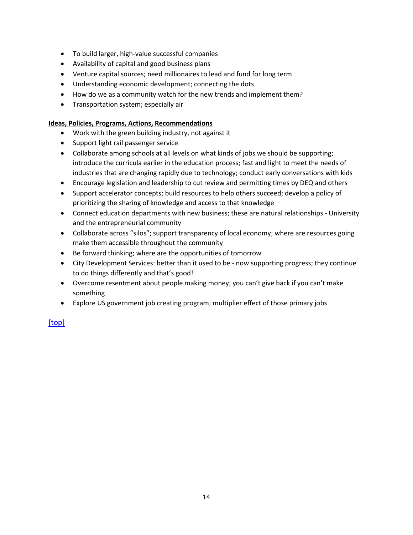- To build larger, high-value successful companies
- Availability of capital and good business plans
- Venture capital sources; need millionaires to lead and fund for long term
- Understanding economic development; connecting the dots
- How do we as a community watch for the new trends and implement them?
- Transportation system; especially air

#### **Ideas, Policies, Programs, Actions, Recommendations**

- Work with the green building industry, not against it
- Support light rail passenger service
- Collaborate among schools at all levels on what kinds of jobs we should be supporting; introduce the curricula earlier in the education process; fast and light to meet the needs of industries that are changing rapidly due to technology; conduct early conversations with kids
- Encourage legislation and leadership to cut review and permitting times by DEQ and others
- Support accelerator concepts; build resources to help others succeed; develop a policy of prioritizing the sharing of knowledge and access to that knowledge
- Connect education departments with new business; these are natural relationships University and the entrepreneurial community
- Collaborate across "silos"; support transparency of local economy; where are resources going make them accessible throughout the community
- Be forward thinking; where are the opportunities of tomorrow
- City Development Services: better than it used to be now supporting progress; they continue to do things differently and that's good!
- Overcome resentment about people making money; you can't give back if you can't make something
- Explore US government job creating program; multiplier effect of those primary jobs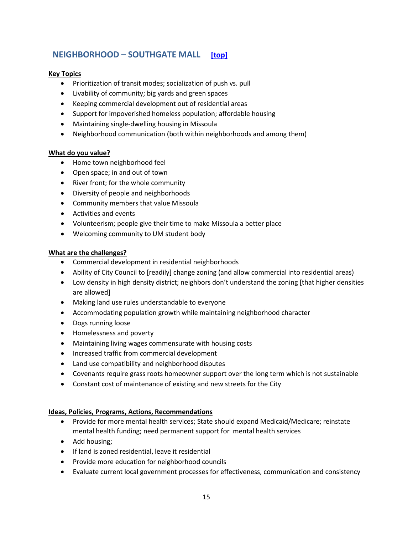## <span id="page-14-0"></span>**NEIGHBORHOOD – SOUTHGATE MALL [\[top\]](#page-0-0)**

## **Key Topics**

- Prioritization of transit modes; socialization of push vs. pull
- Livability of community; big yards and green spaces
- Keeping commercial development out of residential areas
- Support for impoverished homeless population; affordable housing
- Maintaining single-dwelling housing in Missoula
- Neighborhood communication (both within neighborhoods and among them)

#### **What do you value?**

- Home town neighborhood feel
- Open space; in and out of town
- River front; for the whole community
- Diversity of people and neighborhoods
- Community members that value Missoula
- Activities and events
- Volunteerism; people give their time to make Missoula a better place
- Welcoming community to UM student body

#### **What are the challenges?**

- Commercial development in residential neighborhoods
- Ability of City Council to [readily] change zoning (and allow commercial into residential areas)
- Low density in high density district; neighbors don't understand the zoning [that higher densities are allowed]
- Making land use rules understandable to everyone
- Accommodating population growth while maintaining neighborhood character
- Dogs running loose
- Homelessness and poverty
- Maintaining living wages commensurate with housing costs
- Increased traffic from commercial development
- Land use compatibility and neighborhood disputes
- Covenants require grass roots homeowner support over the long term which is not sustainable
- Constant cost of maintenance of existing and new streets for the City

#### **Ideas, Policies, Programs, Actions, Recommendations**

- Provide for more mental health services; State should expand Medicaid/Medicare; reinstate mental health funding; need permanent support for mental health services
- Add housing;
- If land is zoned residential, leave it residential
- Provide more education for neighborhood councils
- Evaluate current local government processes for effectiveness, communication and consistency